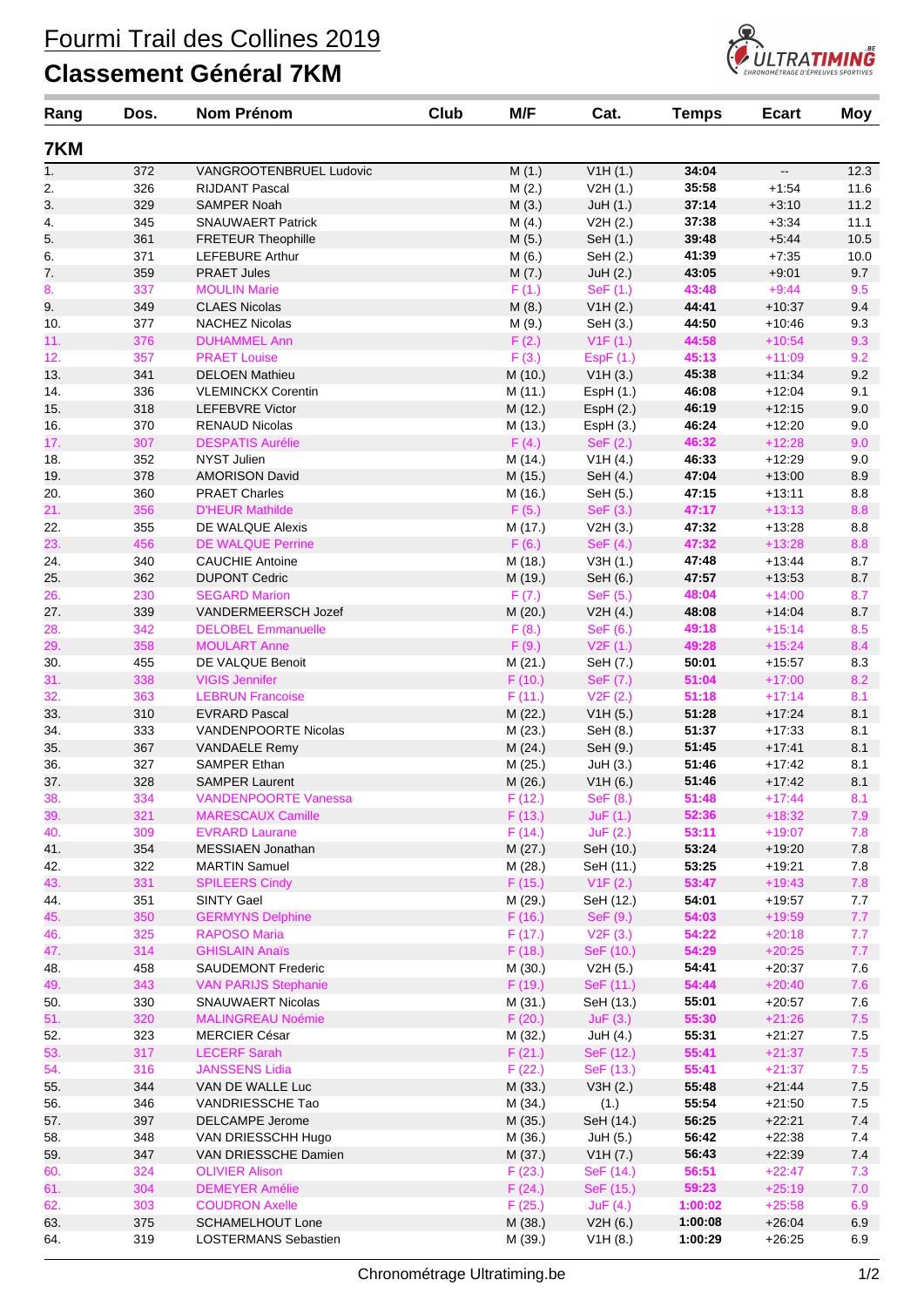## Fourmi Trail des Collines 2019

## **Classement Général 7KM**



| Rang | Dos. | <b>Nom Prénom</b>                          | Club | M/F     | Cat.       | <b>Temps</b>   | <b>Ecart</b>             | <b>Moy</b> |
|------|------|--------------------------------------------|------|---------|------------|----------------|--------------------------|------------|
| 7KM  |      |                                            |      |         |            |                |                          |            |
| 1.   | 372  | VANGROOTENBRUEL Ludovic                    |      | M(1.)   | V1H(1.)    | 34:04          | $\overline{\phantom{a}}$ | 12.3       |
| 2.   | 326  | <b>RIJDANT Pascal</b>                      |      | M(2.)   | V2H(1.)    | 35:58          | $+1:54$                  | 11.6       |
| 3.   | 329  | <b>SAMPER Noah</b>                         |      | M(3.)   | JuH(1.)    | 37:14          | $+3:10$                  | 11.2       |
| 4.   | 345  | <b>SNAUWAERT Patrick</b>                   |      | M(4.)   | V2H(2.)    | 37:38          | $+3:34$                  | 11.1       |
| 5.   | 361  | <b>FRETEUR Theophille</b>                  |      | M(5.)   | SeH (1.)   | 39:48          | $+5:44$                  | 10.5       |
| 6.   | 371  | <b>LEFEBURE Arthur</b>                     |      | M(6.)   | SeH (2.)   | 41:39          | $+7:35$                  | 10.0       |
| 7.   | 359  | <b>PRAET Jules</b>                         |      | M(7.)   | JuH(2.)    | 43:05          | $+9:01$                  | 9.7        |
| 8.   | 337  | <b>MOULIN Marie</b>                        |      | F(1.)   | SeF (1.)   | 43:48          | $+9:44$                  | 9.5        |
| 9.   | 349  | <b>CLAES Nicolas</b>                       |      | M(8.)   | V1H (2.)   | 44:41          | $+10:37$                 | 9.4        |
| 10.  | 377  | <b>NACHEZ Nicolas</b>                      |      | M (9.)  | SeH (3.)   | 44:50          | $+10:46$                 | 9.3        |
| 11.  | 376  | <b>DUHAMMEL Ann</b>                        |      | F(2.)   | V1F(1.)    | 44:58          | $+10:54$                 | 9.3        |
| 12.  | 357  | <b>PRAET Louise</b>                        |      | F(3.)   | EspF(1.)   | 45:13          | $+11:09$                 | 9.2        |
| 13.  | 341  | <b>DELOEN Mathieu</b>                      |      | M (10.) | V1H(3.)    | 45:38          | $+11:34$                 | 9.2        |
| 14.  | 336  | <b>VLEMINCKX Corentin</b>                  |      | M (11.) | EspH(1.)   | 46:08          | $+12:04$                 | 9.1        |
| 15.  | 318  | <b>LEFEBVRE Victor</b>                     |      | M (12.) | EspH(2.)   | 46:19          | $+12:15$                 | 9.0        |
| 16.  | 370  | <b>RENAUD Nicolas</b>                      |      | M (13.) | EspH(3.)   | 46:24          | $+12:20$                 | 9.0        |
| 17.  | 307  | <b>DESPATIS Aurélie</b>                    |      | F(4.)   | SeF (2.)   | 46:32          | $+12:28$                 | 9.0        |
| 18.  | 352  | NYST Julien                                |      | M (14.) | V1H(4.)    | 46:33          | $+12:29$                 | 9.0        |
| 19.  | 378  | <b>AMORISON David</b>                      |      | M (15.) | SeH (4.)   | 47:04          | $+13:00$                 | 8.9        |
| 20.  | 360  | <b>PRAET Charles</b>                       |      | M (16.) | SeH (5.)   | 47:15          | $+13:11$                 | 8.8        |
| 21.  | 356  | <b>D'HEUR Mathilde</b>                     |      | F(5.)   | SeF (3.)   | 47:17          | $+13:13$                 | 8.8        |
| 22.  | 355  | DE WALQUE Alexis                           |      | M (17.) | V2H(3.)    | 47:32          | $+13:28$                 | 8.8        |
| 23.  | 456  | <b>DE WALQUE Perrine</b>                   |      | F(6.)   | SeF $(4.)$ | 47:32          | $+13:28$                 | 8.8        |
| 24.  | 340  | <b>CAUCHIE Antoine</b>                     |      | M (18.) | V3H(1.)    | 47:48          | $+13:44$                 | 8.7        |
| 25.  | 362  | <b>DUPONT Cedric</b>                       |      | M (19.) | SeH (6.)   | 47:57          | $+13:53$                 | 8.7        |
| 26.  | 230  | <b>SEGARD Marion</b>                       |      | F(7.)   | SeF(5.)    | 48:04          | $+14:00$                 | 8.7        |
| 27.  | 339  | VANDERMEERSCH Jozef                        |      | M(20.)  | V2H(4.)    | 48:08          | $+14:04$                 | 8.7        |
| 28.  | 342  | <b>DELOBEL Emmanuelle</b>                  |      | F(8.)   | SeF (6.)   | 49:18          | $+15:14$                 | 8.5        |
| 29.  | 358  | <b>MOULART Anne</b>                        |      | F(9.)   | V2F(1.)    | 49:28          | $+15:24$                 | 8.4        |
| 30.  | 455  | DE VALQUE Benoit                           |      | M(21.)  | SeH (7.)   | 50:01          | $+15:57$                 | 8.3        |
| 31.  | 338  | <b>VIGIS Jennifer</b>                      |      | F(10.)  | SeF (7.)   | 51:04          | $+17:00$                 | 8.2        |
| 32.  | 363  | <b>LEBRUN Francoise</b>                    |      | F(11.)  | V2F(2.)    | 51:18          | $+17:14$                 | 8.1        |
| 33.  | 310  | <b>EVRARD Pascal</b>                       |      | M(22.)  | V1H(5.)    | 51:28          | $+17:24$                 | 8.1        |
| 34.  | 333  | VANDENPOORTE Nicolas                       |      | M (23.) | SeH (8.)   | 51:37          | $+17:33$                 | 8.1        |
| 35.  | 367  | <b>VANDAELE Remy</b>                       |      | M(24.)  | SeH (9.)   | 51:45          | $+17:41$                 | 8.1        |
| 36.  | 327  | SAMPER Ethan                               |      | M (25.) | JuH(3.)    | 51:46          | $+17:42$                 | 8.1        |
| 37.  | 328  | <b>SAMPER Laurent</b>                      |      | M (26.) | V1H(6.)    | 51:46          | $+17:42$                 | 8.1        |
| 38.  | 334  | <b>VANDENPOORTE Vanessa</b>                |      | F(12.)  | SeF (8.)   | 51:48          | $+17:44$                 | 8.1        |
| 39.  | 321  | <b>MARESCAUX Camille</b>                   |      | F(13.)  | JuF(1.)    | 52:36          | $+18:32$                 | 7.9        |
| 40.  | 309  | <b>EVRARD Laurane</b>                      |      | F(14.)  | JuF(2.)    | 53:11          | $+19:07$                 | 7.8        |
| 41.  | 354  | MESSIAEN Jonathan                          |      | M (27.) | SeH (10.)  | 53:24          | $+19:20$                 | 7.8        |
| 42.  | 322  | <b>MARTIN Samuel</b>                       |      | M (28.) | SeH (11.)  | 53:25          | $+19:21$                 | 7.8        |
| 43.  | 331  | <b>SPILEERS Cindy</b>                      |      | F(15.)  | V1F(2.)    | 53:47          | $+19:43$                 | 7.8        |
| 44.  | 351  | <b>SINTY Gael</b>                          |      | M (29.) | SeH (12.)  | 54:01          | $+19:57$                 | 7.7        |
| 45.  | 350  | <b>GERMYNS Delphine</b>                    |      | F(16.)  | SeF (9.)   | 54:03          | $+19:59$                 | 7.7        |
| 46.  | 325  | <b>RAPOSO Maria</b>                        |      | F(17.)  | V2F(3.)    | 54:22          | $+20:18$                 | 7.7        |
| 47.  | 314  | <b>GHISLAIN Anaïs</b>                      |      | F(18.)  | SeF (10.)  | 54:29          | $+20:25$                 | 7.7        |
| 48.  | 458  | <b>SAUDEMONT Frederic</b>                  |      | M(30.)  | V2H (5.)   | 54:41          | $+20:37$                 | 7.6        |
| 49.  | 343  | <b>VAN PARIJS Stephanie</b>                |      | F(19.)  | SeF (11.)  | 54:44          | $+20:40$                 | 7.6        |
| 50.  | 330  | SNAUWAERT Nicolas                          |      | M(31.)  | SeH (13.)  | 55:01          | $+20:57$                 | 7.6        |
| 51.  | 320  | <b>MALINGREAU Noémie</b>                   |      | F(20.)  | JuF(3.)    | 55:30          | $+21:26$                 | 7.5        |
| 52.  | 323  | <b>MERCIER César</b>                       |      | M (32.) | JuH (4.)   | 55:31          | $+21:27$                 | 7.5        |
| 53.  | 317  | <b>LECERF Sarah</b>                        |      | F(21.)  | SeF (12.)  | 55:41          | $+21:37$                 | $7.5$      |
| 54.  | 316  | <b>JANSSENS Lidia</b>                      |      | F(22.)  | SeF (13.)  | 55:41          | $+21:37$                 | 7.5        |
| 55.  | 344  | VAN DE WALLE Luc                           |      | M(33.)  | V3H(2.)    | 55:48          | $+21:44$                 | $7.5\,$    |
| 56.  | 346  | VANDRIESSCHE Tao                           |      | M (34.) | (1.)       | 55:54          | $+21:50$                 | 7.5        |
|      | 397  |                                            |      |         |            | 56:25          | $+22:21$                 | $7.4$      |
| 57.  |      | DELCAMPE Jerome                            |      | M (35.) | SeH (14.)  |                |                          |            |
| 58.  | 348  | VAN DRIESSCHH Hugo<br>VAN DRIESSCHE Damien |      | M (36.) | JuH (5.)   | 56:42<br>56:43 | $+22:38$                 | 7.4        |
| 59.  | 347  |                                            |      | M (37.) | V1H (7.)   |                | $+22:39$                 | $7.4$      |
| 60.  | 324  | <b>OLIVIER Alison</b>                      |      | F(23.)  | SeF (14.)  | 56:51          | $+22:47$                 | 7.3        |
| 61.  | 304  | <b>DEMEYER Amélie</b>                      |      | F(24.)  | SeF (15.)  | 59:23          | $+25:19$                 | 7.0        |
| 62.  | 303  | <b>COUDRON Axelle</b>                      |      | F(25.)  | JuF(4.)    | 1:00:02        | $+25:58$                 | 6.9        |
| 63.  | 375  | <b>SCHAMELHOUT Lone</b>                    |      | M (38.) | V2H(6.)    | 1:00:08        | $+26:04$                 | 6.9        |
| 64.  | 319  | LOSTERMANS Sebastien                       |      | M (39.) | V1H(8.)    | 1:00:29        | $+26:25$                 | 6.9        |